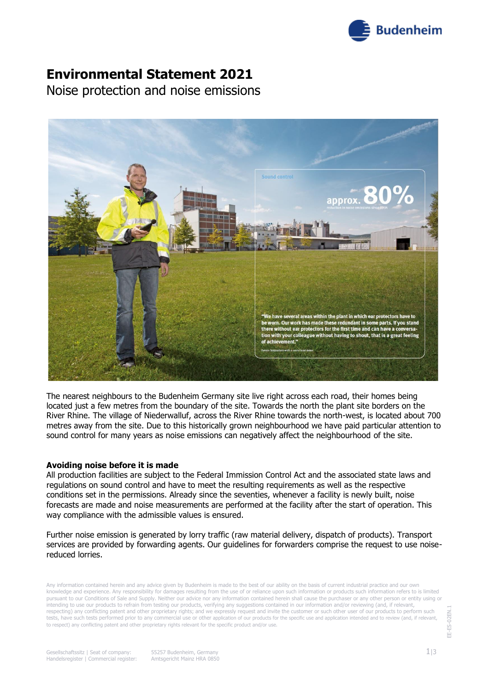

### **Environmental Statement 2021**

Noise protection and noise emissions



The nearest neighbours to the Budenheim Germany site live right across each road, their homes being located just a few metres from the boundary of the site. Towards the north the plant site borders on the River Rhine. The village of Niederwalluf, across the River Rhine towards the north-west, is located about 700 metres away from the site. Due to this historically grown neighbourhood we have paid particular attention to sound control for many years as noise emissions can negatively affect the neighbourhood of the site.

#### **Avoiding noise before it is made**

All production facilities are subject to the Federal Immission Control Act and the associated state laws and regulations on sound control and have to meet the resulting requirements as well as the respective conditions set in the permissions. Already since the seventies, whenever a facility is newly built, noise forecasts are made and noise measurements are performed at the facility after the start of operation. This way compliance with the admissible values is ensured.

Further noise emission is generated by lorry traffic (raw material delivery, dispatch of products). Transport services are provided by forwarding agents. Our guidelines for forwarders comprise the request to use noisereduced lorries.

Any information contained herein and any advice given by Budenheim is made to the best of our ability on the basis of current industrial practice and our own knowledge and experience. Any responsibility for damages resulting from the use of or reliance upon such information or products such information refers to is limited pursuant to our Conditions of Sale and Supply. Neither our advice nor any information contained herein shall cause the purchaser or any other person or entity using or intending to use our products to refrain from testing our products, verifying any suggestions contained in our information and/or reviewing (and, if relevant, respecting) any conflicting patent and other proprietary rights; and we expressly request and invite the customer or such other user of our products to perform such tests, have such tests performed prior to any commercial use or other application of our products for the specific use and application intended and to review (and, if relevant, to respect) any conflicting patent and other proprietary rights relevant for the specific product and/or use.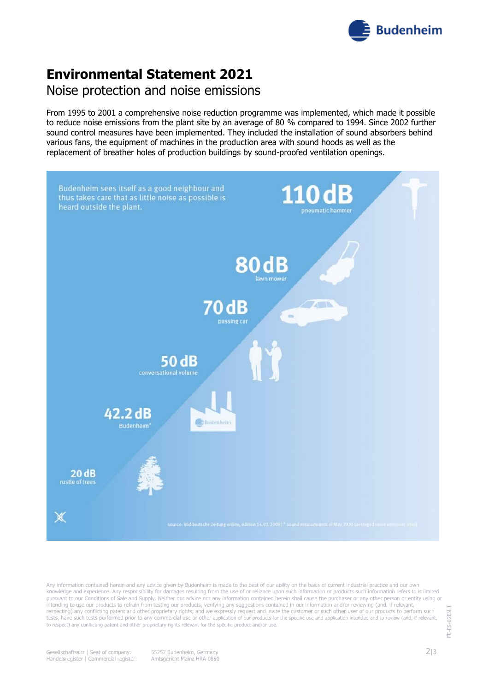

# **Environmental Statement 2021** Noise protection and noise emissions

From 1995 to 2001 a comprehensive noise reduction programme was implemented, which made it possible to reduce noise emissions from the plant site by an average of 80 % compared to 1994. Since 2002 further sound control measures have been implemented. They included the installation of sound absorbers behind various fans, the equipment of machines in the production area with sound hoods as well as the replacement of breather holes of production buildings by sound-proofed ventilation openings.



Any information contained herein and any advice given by Budenheim is made to the best of our ability on the basis of current industrial practice and our own knowledge and experience. Any responsibility for damages resulting from the use of or reliance upon such information or products such information refers to is limited pursuant to our Conditions of Sale and Supply. Neither our advice nor any information contained herein shall cause the purchaser or any other person or entity using or intending to use our products to refrain from testing our products, verifying any suggestions contained in our information and/or reviewing (and, if relevant, respecting) any conflicting patent and other proprietary rights; and we expressly request and invite the customer or such other user of our products to perform such tests, have such tests performed prior to any commercial use or other application of our products for the specific use and application intended and to review (and, if relevant, to respect) any conflicting patent and other proprietary rights relevant for the specific product and/or use.